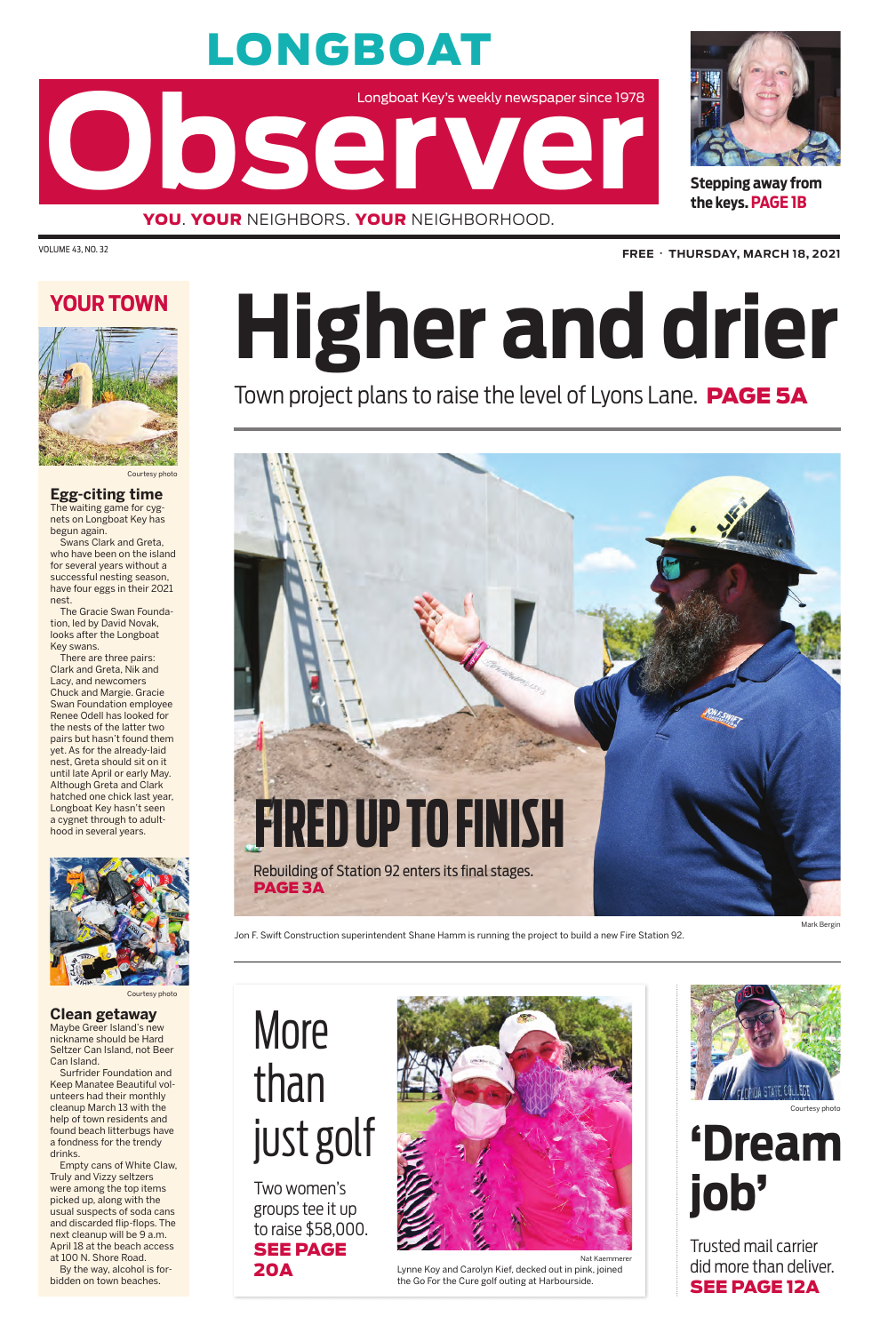# LONGBOAT

Longboat Key's weekly newspaper since 1978<br> **Observer Adding the Contract of Adding the Contract of Adding the Contract of Adding the Contract of Adding the Contract of Adding the Contract of Adding the Contract of Adding** 





VOLUME 43, NO. 32 **FREE** • **THURSDAY, MARCH 18, 2021**

**Stepping away from the keys. PAGE 1B**

**Egg-citing time** The waiting game for cygnets on Longboat Key has begun again.

Swans Clark and Greta, who have been on the island for several years without a successful nesting season, have four eggs in their 2021 nest.

The Gracie Swan Foundation, led by David Novak, looks after the Longboat Key swans.

There are three pairs: Clark and Greta, Nik and Lacy, and newcomers Chuck and Margie. Gracie Swan Foundation employee Renee Odell has looked for the nests of the latter two pairs but hasn't found them yet. As for the already-laid nest, Greta should sit on it until late April or early May. Although Greta and Clark hatched one chick last year, Longboat Key hasn't seen a cygnet through to adulthood in several years.



### **YOUR TOWN**



Courtesy photo

#### **Clean getaway**

Maybe Greer Island's new nickname should be Hard Seltzer Can Island, not Beer Can Island.

Surfrider Foundation and Keep Manatee Beautiful volunteers had their monthly cleanup March 13 with the help of town residents and found beach litterbugs have a fondness for the trendy drinks.

Empty cans of White Claw, Truly and Vizzy seltzers were among the top items picked up, along with the usual suspects of soda cans and discarded flip-flops. The next cleanup will be 9 a.m. April 18 at the beach access at 100 N. Shore Road. By the way, alcohol is forbidden on town beaches.

Courtesy photo

#### Nat Kaemmerer

Lynne Koy and Carolyn Kief, decked out in pink, joined the Go For the Cure golf outing at Harbourside.



Courtesy photo

## More than just golf

Two women's groups tee it up to raise \$58,000. SEE PAGE 20A



Jon F. Swift Construction superintendent Shane Hamm is running the project to build a new Fire Station 92.

# **Higher and drier**

## Town project plans to raise the level of Lyons Lane. PAGE 5A

## **'Dream job'**

Trusted mail carrier did more than deliver. SEE PAGE 12A